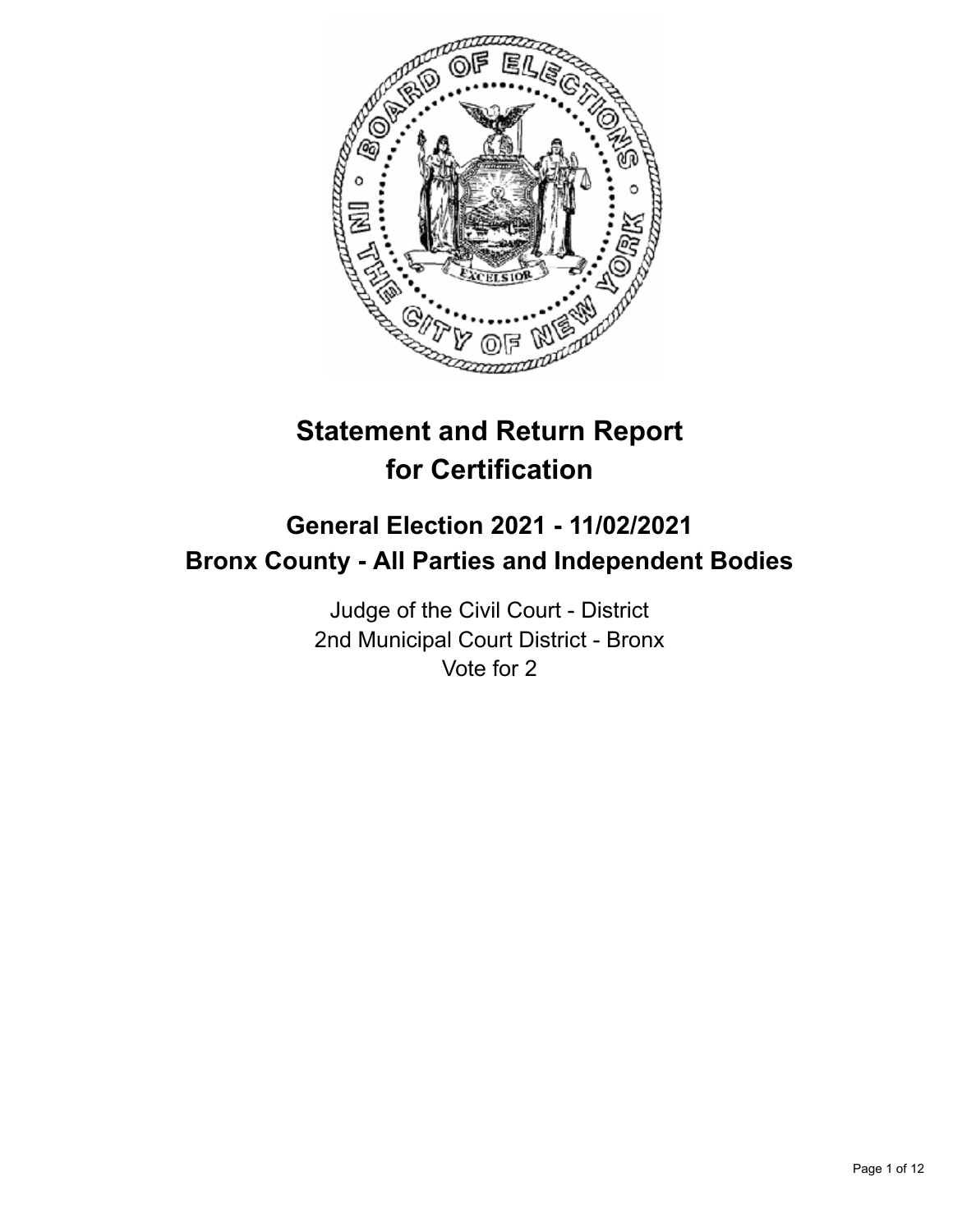

# **Statement and Return Report for Certification**

# **General Election 2021 - 11/02/2021 Bronx County - All Parties and Independent Bodies**

Judge of the Civil Court - District 2nd Municipal Court District - Bronx Vote for 2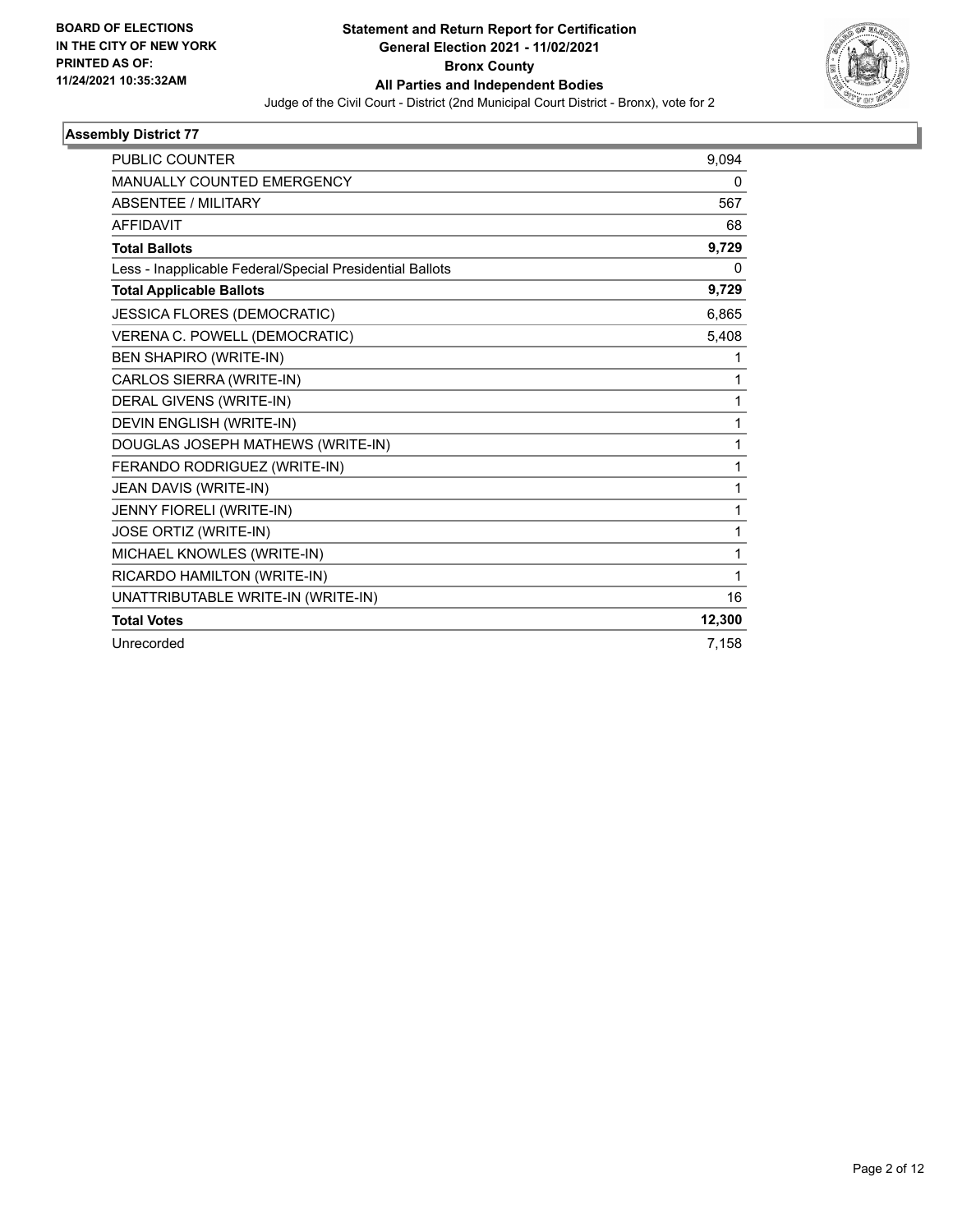

| <b>PUBLIC COUNTER</b>                                    | 9.094  |
|----------------------------------------------------------|--------|
| MANUALLY COUNTED EMERGENCY                               | 0      |
| <b>ABSENTEE / MILITARY</b>                               | 567    |
| <b>AFFIDAVIT</b>                                         | 68     |
| <b>Total Ballots</b>                                     | 9,729  |
| Less - Inapplicable Federal/Special Presidential Ballots | 0      |
| <b>Total Applicable Ballots</b>                          | 9,729  |
| JESSICA FLORES (DEMOCRATIC)                              | 6,865  |
| VERENA C. POWELL (DEMOCRATIC)                            | 5,408  |
| <b>BEN SHAPIRO (WRITE-IN)</b>                            |        |
| CARLOS SIERRA (WRITE-IN)                                 | 1      |
| DERAL GIVENS (WRITE-IN)                                  | 1      |
| DEVIN ENGLISH (WRITE-IN)                                 | 1      |
| DOUGLAS JOSEPH MATHEWS (WRITE-IN)                        | 1      |
| FERANDO RODRIGUEZ (WRITE-IN)                             | 1      |
| JEAN DAVIS (WRITE-IN)                                    | 1      |
| JENNY FIORELI (WRITE-IN)                                 | 1      |
| JOSE ORTIZ (WRITE-IN)                                    | 1      |
| MICHAEL KNOWLES (WRITE-IN)                               | 1      |
| RICARDO HAMILTON (WRITE-IN)                              | 1      |
| UNATTRIBUTABLE WRITE-IN (WRITE-IN)                       | 16     |
| <b>Total Votes</b>                                       | 12,300 |
| Unrecorded                                               | 7,158  |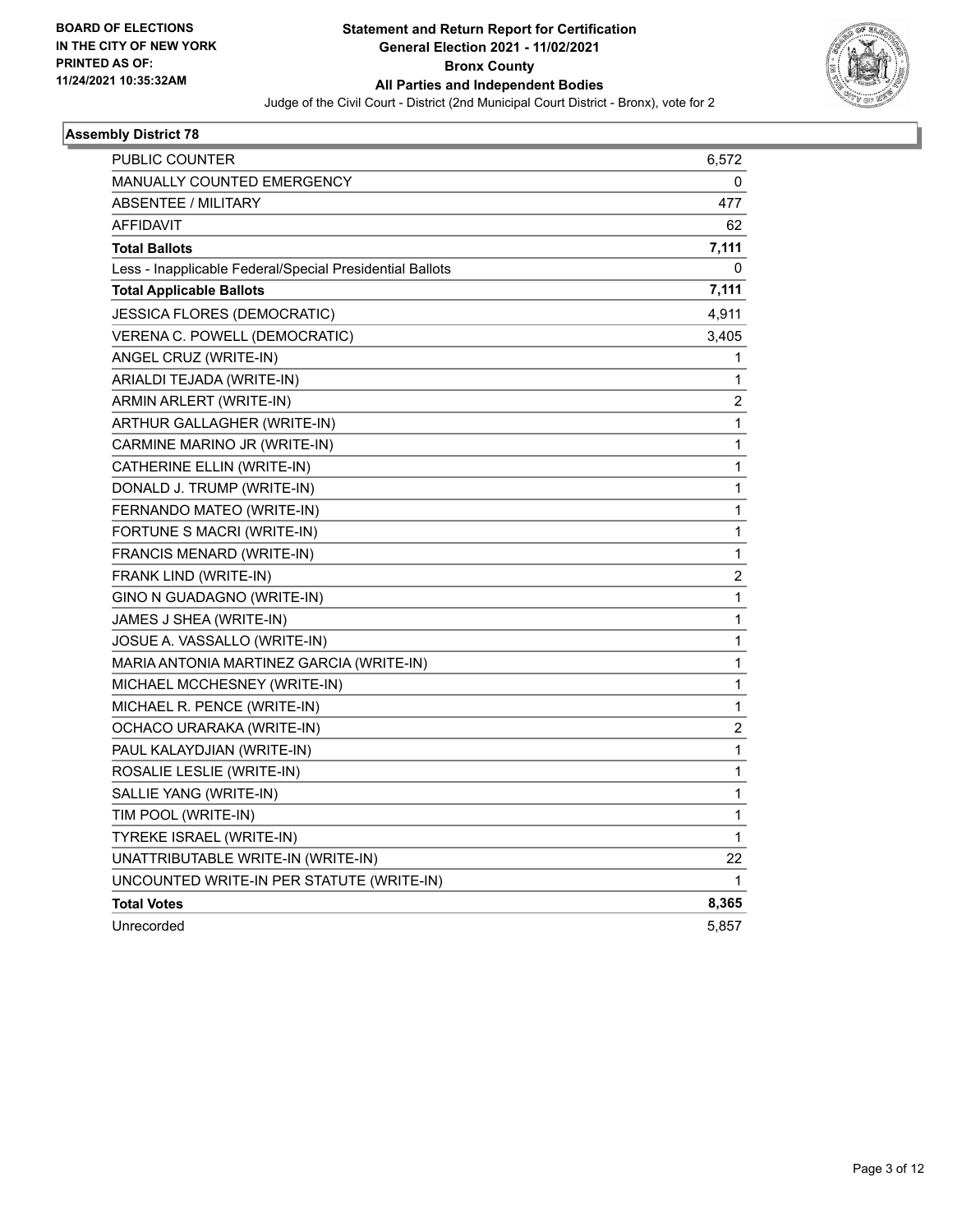

| PUBLIC COUNTER                                           | 6,572                   |
|----------------------------------------------------------|-------------------------|
| <b>MANUALLY COUNTED EMERGENCY</b>                        | 0                       |
| <b>ABSENTEE / MILITARY</b>                               | 477                     |
| <b>AFFIDAVIT</b>                                         | 62                      |
| <b>Total Ballots</b>                                     | 7,111                   |
| Less - Inapplicable Federal/Special Presidential Ballots | 0                       |
| <b>Total Applicable Ballots</b>                          | 7,111                   |
| JESSICA FLORES (DEMOCRATIC)                              | 4,911                   |
| VERENA C. POWELL (DEMOCRATIC)                            | 3,405                   |
| ANGEL CRUZ (WRITE-IN)                                    | 1                       |
| ARIALDI TEJADA (WRITE-IN)                                | 1                       |
| ARMIN ARLERT (WRITE-IN)                                  | 2                       |
| ARTHUR GALLAGHER (WRITE-IN)                              | 1                       |
| CARMINE MARINO JR (WRITE-IN)                             | 1                       |
| CATHERINE ELLIN (WRITE-IN)                               | 1                       |
| DONALD J. TRUMP (WRITE-IN)                               | 1                       |
| FERNANDO MATEO (WRITE-IN)                                | 1                       |
| FORTUNE S MACRI (WRITE-IN)                               | 1                       |
| FRANCIS MENARD (WRITE-IN)                                | 1                       |
| FRANK LIND (WRITE-IN)                                    | 2                       |
| GINO N GUADAGNO (WRITE-IN)                               | 1                       |
| JAMES J SHEA (WRITE-IN)                                  | 1                       |
| JOSUE A. VASSALLO (WRITE-IN)                             | 1                       |
| MARIA ANTONIA MARTINEZ GARCIA (WRITE-IN)                 | 1                       |
| MICHAEL MCCHESNEY (WRITE-IN)                             | 1                       |
| MICHAEL R. PENCE (WRITE-IN)                              | 1                       |
| OCHACO URARAKA (WRITE-IN)                                | $\overline{\mathbf{c}}$ |
| PAUL KALAYDJIAN (WRITE-IN)                               | 1                       |
| ROSALIE LESLIE (WRITE-IN)                                | 1                       |
| SALLIE YANG (WRITE-IN)                                   | 1                       |
| TIM POOL (WRITE-IN)                                      | 1                       |
| TYREKE ISRAEL (WRITE-IN)                                 | 1                       |
| UNATTRIBUTABLE WRITE-IN (WRITE-IN)                       | 22                      |
| UNCOUNTED WRITE-IN PER STATUTE (WRITE-IN)                | 1                       |
| <b>Total Votes</b>                                       | 8,365                   |
| Unrecorded                                               | 5,857                   |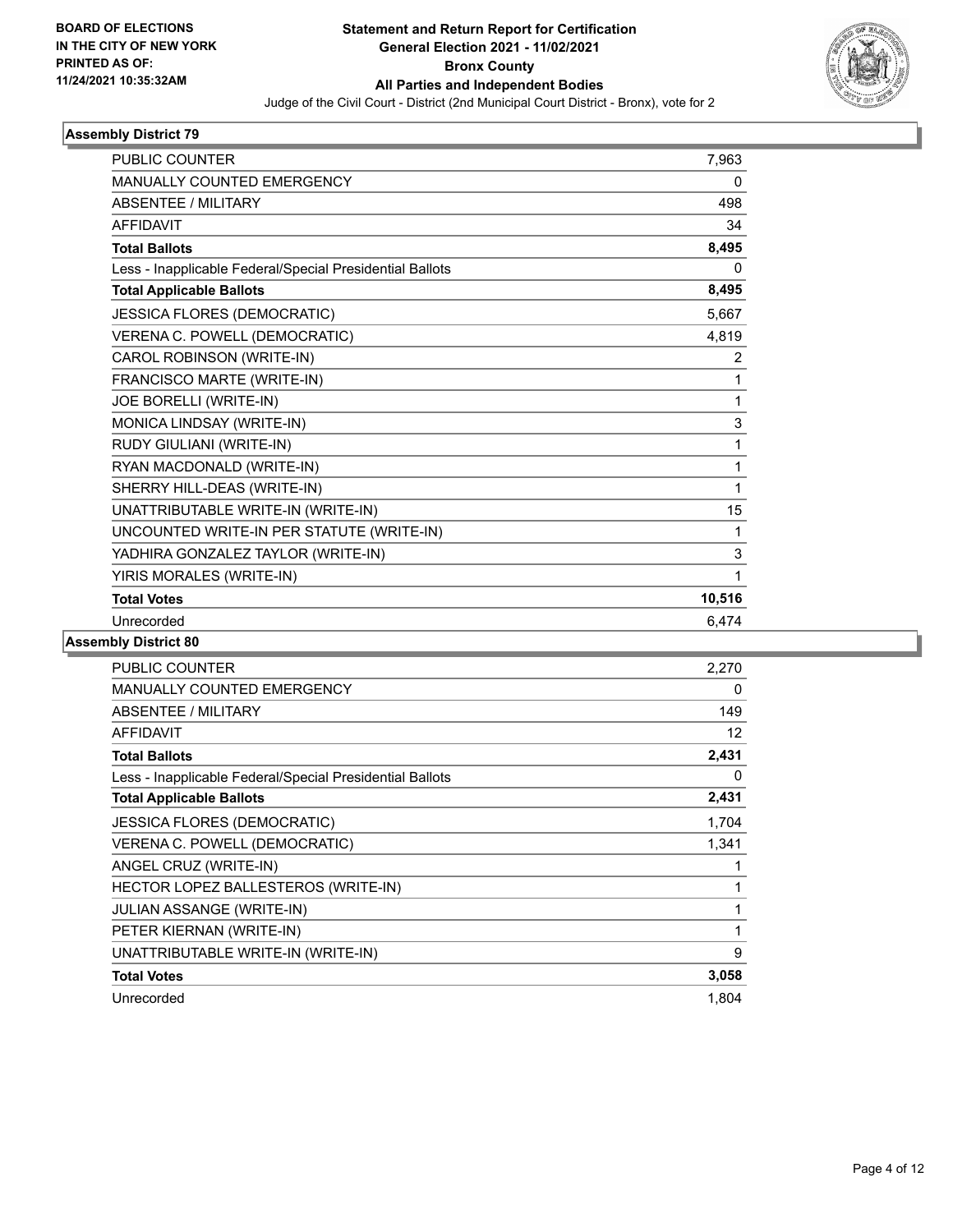

| <b>PUBLIC COUNTER</b>                                    | 7,963  |
|----------------------------------------------------------|--------|
| <b>MANUALLY COUNTED EMERGENCY</b>                        | 0      |
| ABSENTEE / MILITARY                                      | 498    |
| <b>AFFIDAVIT</b>                                         | 34     |
| <b>Total Ballots</b>                                     | 8,495  |
| Less - Inapplicable Federal/Special Presidential Ballots | 0      |
| <b>Total Applicable Ballots</b>                          | 8,495  |
| JESSICA FLORES (DEMOCRATIC)                              | 5,667  |
| VERENA C. POWELL (DEMOCRATIC)                            | 4,819  |
| CAROL ROBINSON (WRITE-IN)                                | 2      |
| FRANCISCO MARTE (WRITE-IN)                               | 1      |
| JOE BORELLI (WRITE-IN)                                   | 1      |
| MONICA LINDSAY (WRITE-IN)                                | 3      |
| RUDY GIULIANI (WRITE-IN)                                 | 1      |
| RYAN MACDONALD (WRITE-IN)                                | 1      |
| SHERRY HILL-DEAS (WRITE-IN)                              | 1      |
| UNATTRIBUTABLE WRITE-IN (WRITE-IN)                       | 15     |
| UNCOUNTED WRITE-IN PER STATUTE (WRITE-IN)                | 1      |
| YADHIRA GONZALEZ TAYLOR (WRITE-IN)                       | 3      |
| YIRIS MORALES (WRITE-IN)                                 | 1      |
| <b>Total Votes</b>                                       | 10,516 |
| Unrecorded                                               | 6,474  |

| PUBLIC COUNTER                                           | 2,270 |
|----------------------------------------------------------|-------|
| <b>MANUALLY COUNTED EMERGENCY</b>                        | 0     |
| ABSENTEE / MILITARY                                      | 149   |
| <b>AFFIDAVIT</b>                                         | 12    |
| <b>Total Ballots</b>                                     | 2,431 |
| Less - Inapplicable Federal/Special Presidential Ballots | 0     |
| <b>Total Applicable Ballots</b>                          | 2,431 |
| <b>JESSICA FLORES (DEMOCRATIC)</b>                       | 1,704 |
| VERENA C. POWELL (DEMOCRATIC)                            | 1,341 |
| ANGEL CRUZ (WRITE-IN)                                    |       |
| HECTOR LOPEZ BALLESTEROS (WRITE-IN)                      | 1     |
| <b>JULIAN ASSANGE (WRITE-IN)</b>                         | 1     |
| PETER KIERNAN (WRITE-IN)                                 | 1     |
| UNATTRIBUTABLE WRITE-IN (WRITE-IN)                       | 9     |
| <b>Total Votes</b>                                       | 3,058 |
| Unrecorded                                               | 1,804 |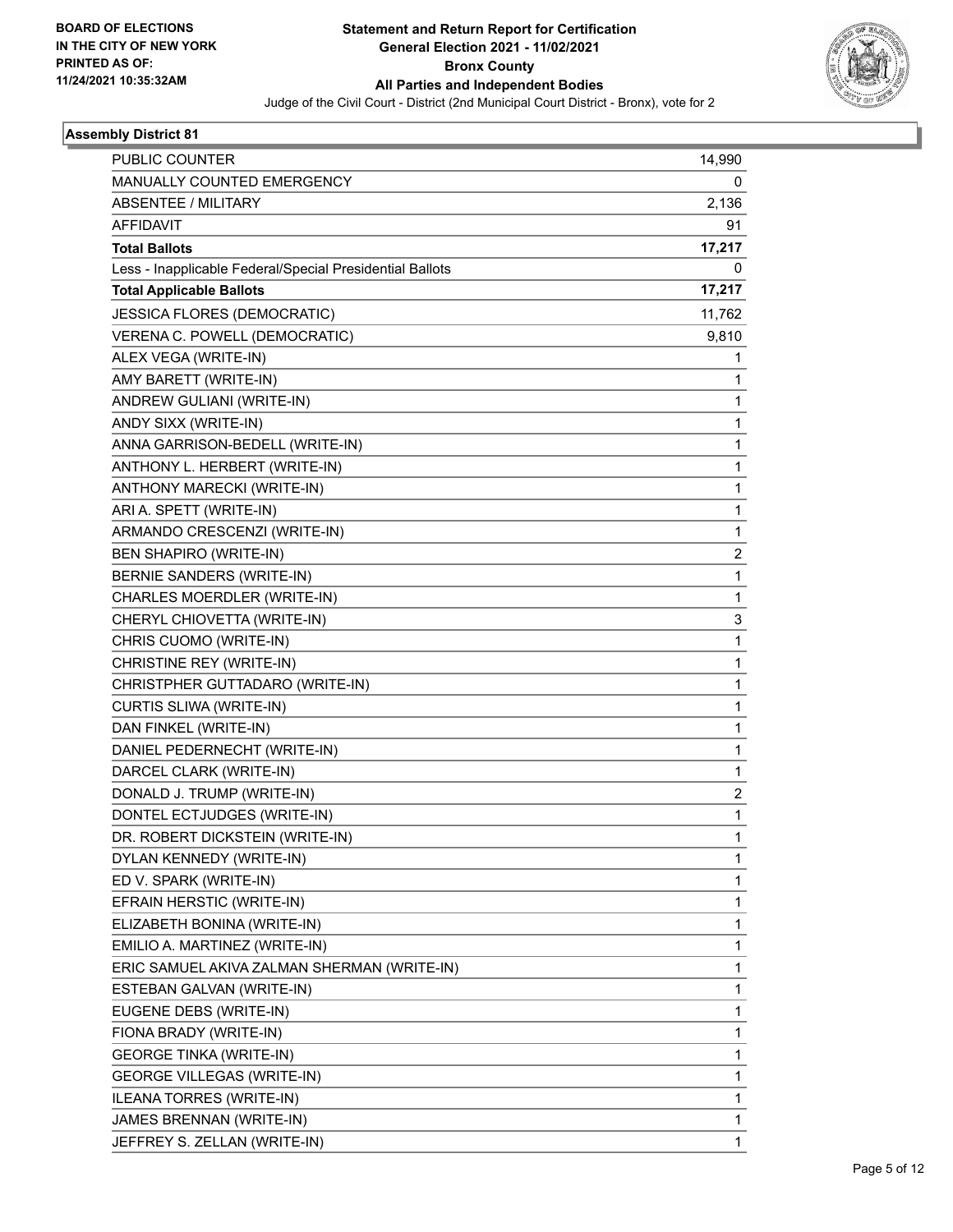

| PUBLIC COUNTER                                           | 14,990       |
|----------------------------------------------------------|--------------|
| MANUALLY COUNTED EMERGENCY                               | 0            |
| ABSENTEE / MILITARY                                      | 2,136        |
| <b>AFFIDAVIT</b>                                         | 91           |
| <b>Total Ballots</b>                                     | 17,217       |
| Less - Inapplicable Federal/Special Presidential Ballots | 0            |
| <b>Total Applicable Ballots</b>                          | 17,217       |
| JESSICA FLORES (DEMOCRATIC)                              | 11,762       |
| VERENA C. POWELL (DEMOCRATIC)                            | 9,810        |
| ALEX VEGA (WRITE-IN)                                     | 1            |
| AMY BARETT (WRITE-IN)                                    | 1            |
| ANDREW GULIANI (WRITE-IN)                                | 1            |
| ANDY SIXX (WRITE-IN)                                     | 1            |
| ANNA GARRISON-BEDELL (WRITE-IN)                          | 1            |
| ANTHONY L. HERBERT (WRITE-IN)                            | 1            |
| ANTHONY MARECKI (WRITE-IN)                               | 1            |
| ARI A. SPETT (WRITE-IN)                                  | 1            |
| ARMANDO CRESCENZI (WRITE-IN)                             | 1            |
| <b>BEN SHAPIRO (WRITE-IN)</b>                            | 2            |
| BERNIE SANDERS (WRITE-IN)                                | $\mathbf{1}$ |
| CHARLES MOERDLER (WRITE-IN)                              | 1            |
| CHERYL CHIOVETTA (WRITE-IN)                              | 3            |
| CHRIS CUOMO (WRITE-IN)                                   | 1            |
| CHRISTINE REY (WRITE-IN)                                 | 1            |
| CHRISTPHER GUTTADARO (WRITE-IN)                          | 1            |
| CURTIS SLIWA (WRITE-IN)                                  | 1            |
| DAN FINKEL (WRITE-IN)                                    | 1            |
| DANIEL PEDERNECHT (WRITE-IN)                             | 1            |
| DARCEL CLARK (WRITE-IN)                                  | 1            |
| DONALD J. TRUMP (WRITE-IN)                               | 2            |
| DONTEL ECTJUDGES (WRITE-IN)                              | 1            |
| DR. ROBERT DICKSTEIN (WRITE-IN)                          | 1            |
| DYLAN KENNEDY (WRITE-IN)                                 | 1            |
| ED V. SPARK (WRITE-IN)                                   | 1            |
| EFRAIN HERSTIC (WRITE-IN)                                | 1            |
| ELIZABETH BONINA (WRITE-IN)                              | 1            |
| EMILIO A. MARTINEZ (WRITE-IN)                            | 1            |
| ERIC SAMUEL AKIVA ZALMAN SHERMAN (WRITE-IN)              | 1            |
| ESTEBAN GALVAN (WRITE-IN)                                | 1            |
| EUGENE DEBS (WRITE-IN)                                   | 1            |
| FIONA BRADY (WRITE-IN)                                   | 1            |
| <b>GEORGE TINKA (WRITE-IN)</b>                           | 1            |
| GEORGE VILLEGAS (WRITE-IN)                               | 1            |
| ILEANA TORRES (WRITE-IN)                                 | 1            |
| JAMES BRENNAN (WRITE-IN)                                 | 1            |
| JEFFREY S. ZELLAN (WRITE-IN)                             | 1            |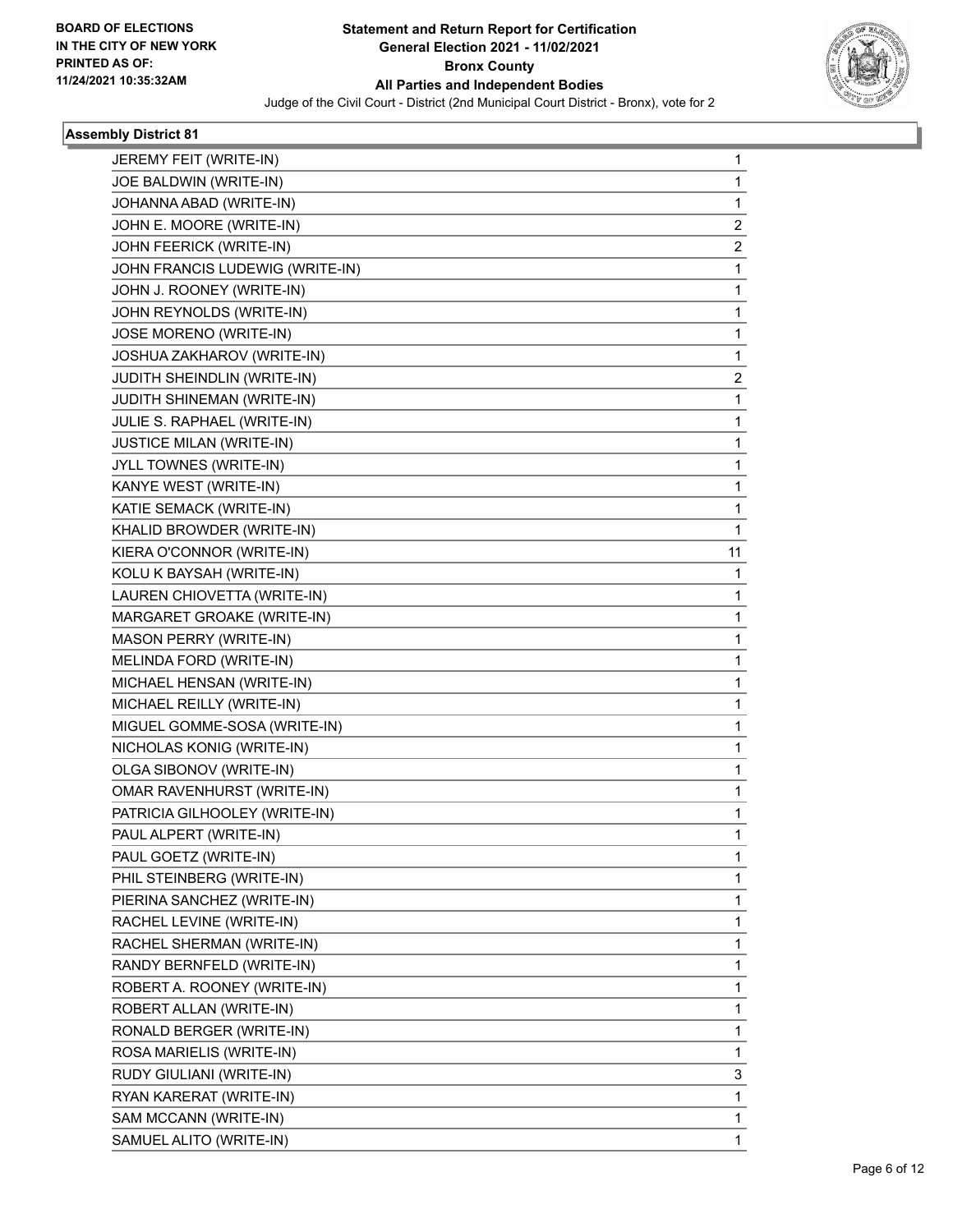

| JEREMY FEIT (WRITE-IN)          | 1              |
|---------------------------------|----------------|
| JOE BALDWIN (WRITE-IN)          | 1              |
| JOHANNA ABAD (WRITE-IN)         | 1              |
| JOHN E. MOORE (WRITE-IN)        | $\overline{2}$ |
| JOHN FEERICK (WRITE-IN)         | 2              |
| JOHN FRANCIS LUDEWIG (WRITE-IN) | 1              |
| JOHN J. ROONEY (WRITE-IN)       | 1              |
| JOHN REYNOLDS (WRITE-IN)        | 1              |
| JOSE MORENO (WRITE-IN)          | 1              |
| JOSHUA ZAKHAROV (WRITE-IN)      | 1              |
| JUDITH SHEINDLIN (WRITE-IN)     | 2              |
| JUDITH SHINEMAN (WRITE-IN)      | 1              |
| JULIE S. RAPHAEL (WRITE-IN)     | 1              |
| <b>JUSTICE MILAN (WRITE-IN)</b> | $\mathbf{1}$   |
| JYLL TOWNES (WRITE-IN)          | 1              |
| KANYE WEST (WRITE-IN)           | 1              |
| KATIE SEMACK (WRITE-IN)         | 1              |
| KHALID BROWDER (WRITE-IN)       | 1              |
| KIERA O'CONNOR (WRITE-IN)       | 11             |
| KOLU K BAYSAH (WRITE-IN)        | 1              |
| LAUREN CHIOVETTA (WRITE-IN)     | 1              |
| MARGARET GROAKE (WRITE-IN)      | 1              |
| MASON PERRY (WRITE-IN)          | $\mathbf{1}$   |
| MELINDA FORD (WRITE-IN)         | 1              |
| MICHAEL HENSAN (WRITE-IN)       | 1              |
| MICHAEL REILLY (WRITE-IN)       | $\mathbf{1}$   |
| MIGUEL GOMME-SOSA (WRITE-IN)    | 1              |
| NICHOLAS KONIG (WRITE-IN)       | 1              |
| OLGA SIBONOV (WRITE-IN)         | $\mathbf{1}$   |
| OMAR RAVENHURST (WRITE-IN)      | 1              |
| PATRICIA GILHOOLEY (WRITE-IN)   | $\mathbf{1}$   |
| PAUL ALPERT (WRITE-IN)          | 1              |
| PAUL GOETZ (WRITE-IN)           | 1              |
| PHIL STEINBERG (WRITE-IN)       | 1              |
| PIERINA SANCHEZ (WRITE-IN)      | 1              |
| RACHEL LEVINE (WRITE-IN)        | 1              |
| RACHEL SHERMAN (WRITE-IN)       | 1              |
| RANDY BERNFELD (WRITE-IN)       | 1              |
| ROBERT A. ROONEY (WRITE-IN)     | 1              |
| ROBERT ALLAN (WRITE-IN)         | 1              |
| RONALD BERGER (WRITE-IN)        | 1              |
| ROSA MARIELIS (WRITE-IN)        | 1              |
| RUDY GIULIANI (WRITE-IN)        | 3              |
| RYAN KARERAT (WRITE-IN)         | 1              |
| SAM MCCANN (WRITE-IN)           | 1              |
| SAMUEL ALITO (WRITE-IN)         | 1              |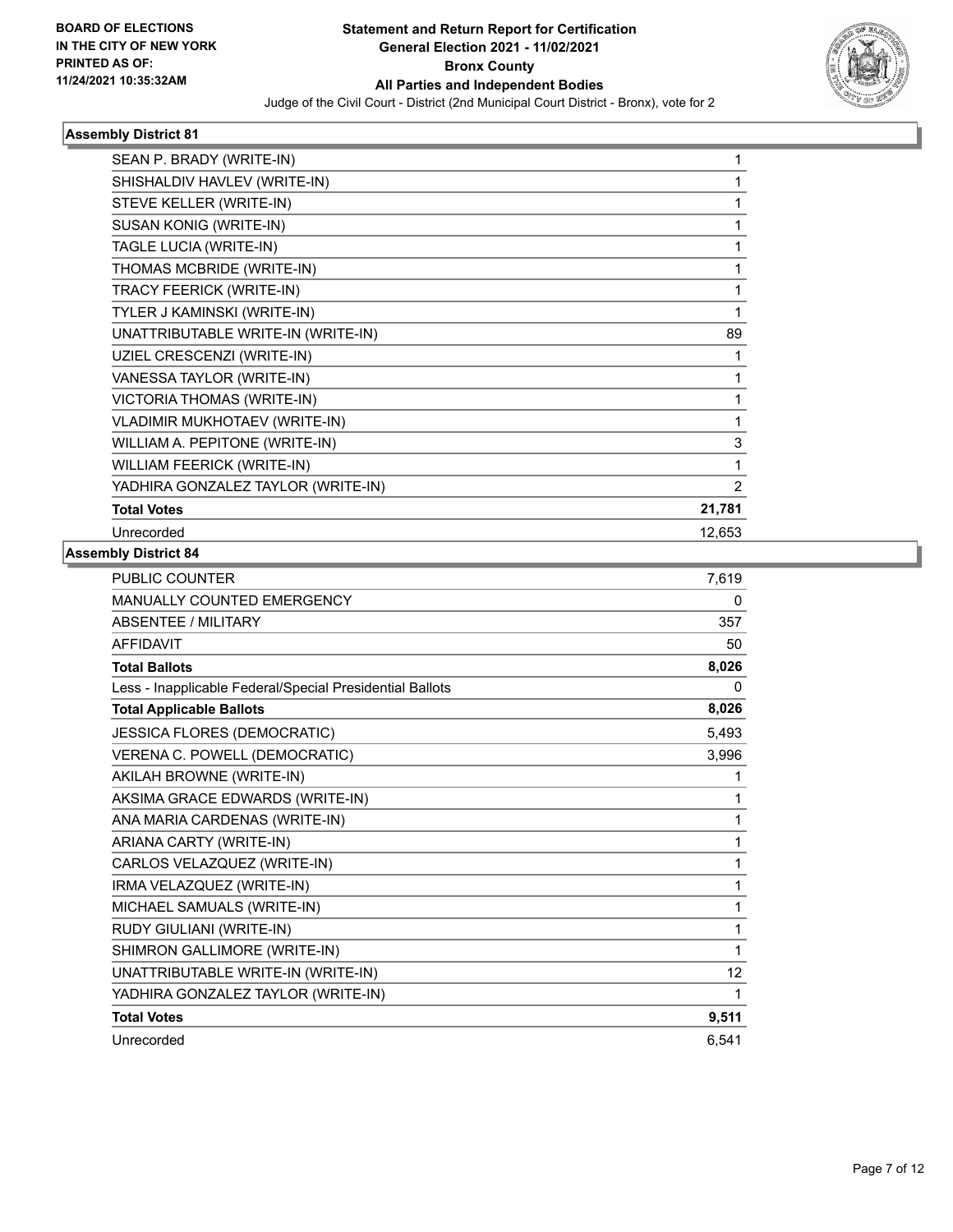

| SEAN P. BRADY (WRITE-IN)           |                |
|------------------------------------|----------------|
| SHISHALDIV HAVLEV (WRITE-IN)       |                |
| STEVE KELLER (WRITE-IN)            |                |
| SUSAN KONIG (WRITE-IN)             | 1              |
| TAGLE LUCIA (WRITE-IN)             | 1              |
| THOMAS MCBRIDE (WRITE-IN)          | 1              |
| TRACY FEERICK (WRITE-IN)           | 1              |
| TYLER J KAMINSKI (WRITE-IN)        | 1              |
| UNATTRIBUTABLE WRITE-IN (WRITE-IN) | 89             |
| UZIEL CRESCENZI (WRITE-IN)         | 1              |
| VANESSA TAYLOR (WRITE-IN)          | 1              |
| VICTORIA THOMAS (WRITE-IN)         | 1              |
| VLADIMIR MUKHOTAEV (WRITE-IN)      | 1              |
| WILLIAM A. PEPITONE (WRITE-IN)     | 3              |
| WILLIAM FEERICK (WRITE-IN)         | 1              |
| YADHIRA GONZALEZ TAYLOR (WRITE-IN) | $\overline{2}$ |
| <b>Total Votes</b>                 | 21,781         |
| Unrecorded                         | 12,653         |
|                                    |                |

| <b>PUBLIC COUNTER</b>                                    | 7,619 |
|----------------------------------------------------------|-------|
| <b>MANUALLY COUNTED EMERGENCY</b>                        | 0     |
| <b>ABSENTEE / MILITARY</b>                               | 357   |
| <b>AFFIDAVIT</b>                                         | 50    |
| <b>Total Ballots</b>                                     | 8,026 |
| Less - Inapplicable Federal/Special Presidential Ballots | 0     |
| <b>Total Applicable Ballots</b>                          | 8,026 |
| JESSICA FLORES (DEMOCRATIC)                              | 5,493 |
| VERENA C. POWELL (DEMOCRATIC)                            | 3,996 |
| AKILAH BROWNE (WRITE-IN)                                 | 1     |
| AKSIMA GRACE EDWARDS (WRITE-IN)                          | 1     |
| ANA MARIA CARDENAS (WRITE-IN)                            | 1     |
| ARIANA CARTY (WRITE-IN)                                  | 1     |
| CARLOS VELAZQUEZ (WRITE-IN)                              | 1     |
| IRMA VELAZQUEZ (WRITE-IN)                                | 1     |
| MICHAEL SAMUALS (WRITE-IN)                               | 1     |
| RUDY GIULIANI (WRITE-IN)                                 | 1     |
| SHIMRON GALLIMORE (WRITE-IN)                             | 1     |
| UNATTRIBUTABLE WRITE-IN (WRITE-IN)                       | 12    |
| YADHIRA GONZALEZ TAYLOR (WRITE-IN)                       | 1     |
| <b>Total Votes</b>                                       | 9,511 |
| Unrecorded                                               | 6,541 |
|                                                          |       |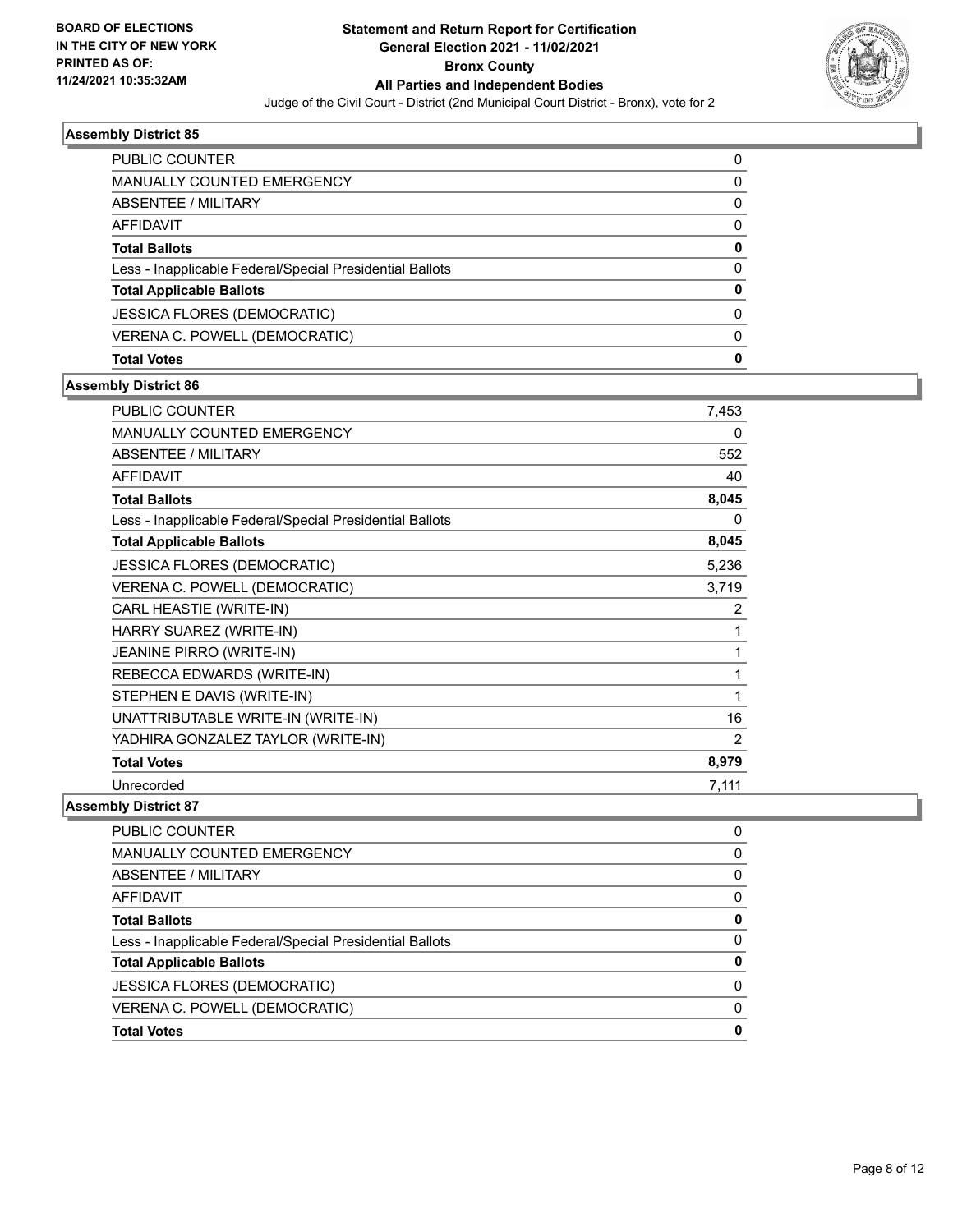

| <b>PUBLIC COUNTER</b>                                    | 0 |
|----------------------------------------------------------|---|
| <b>MANUALLY COUNTED EMERGENCY</b>                        | 0 |
| ABSENTEE / MILITARY                                      | 0 |
| AFFIDAVIT                                                | 0 |
| <b>Total Ballots</b>                                     | 0 |
| Less - Inapplicable Federal/Special Presidential Ballots | 0 |
| <b>Total Applicable Ballots</b>                          | O |
| <b>JESSICA FLORES (DEMOCRATIC)</b>                       | 0 |
| VERENA C. POWELL (DEMOCRATIC)                            | 0 |
| <b>Total Votes</b>                                       | 0 |

## **Assembly District 86**

| PUBLIC COUNTER                                           | 7,453 |
|----------------------------------------------------------|-------|
| MANUALLY COUNTED EMERGENCY                               | 0     |
| <b>ABSENTEE / MILITARY</b>                               | 552   |
| <b>AFFIDAVIT</b>                                         | 40    |
| <b>Total Ballots</b>                                     | 8,045 |
| Less - Inapplicable Federal/Special Presidential Ballots | 0     |
| <b>Total Applicable Ballots</b>                          | 8,045 |
| <b>JESSICA FLORES (DEMOCRATIC)</b>                       | 5,236 |
| VERENA C. POWELL (DEMOCRATIC)                            | 3,719 |
| CARL HEASTIE (WRITE-IN)                                  | 2     |
| HARRY SUAREZ (WRITE-IN)                                  | 1     |
| JEANINE PIRRO (WRITE-IN)                                 | 1     |
| REBECCA EDWARDS (WRITE-IN)                               | 1     |
| STEPHEN E DAVIS (WRITE-IN)                               | 1     |
| UNATTRIBUTABLE WRITE-IN (WRITE-IN)                       | 16    |
| YADHIRA GONZALEZ TAYLOR (WRITE-IN)                       | 2     |
| <b>Total Votes</b>                                       | 8,979 |
| Unrecorded                                               | 7,111 |

| PUBLIC COUNTER                                           | 0 |
|----------------------------------------------------------|---|
| <b>MANUALLY COUNTED EMERGENCY</b>                        | 0 |
| ABSENTEE / MILITARY                                      | 0 |
| AFFIDAVIT                                                | 0 |
| <b>Total Ballots</b>                                     | 0 |
| Less - Inapplicable Federal/Special Presidential Ballots | 0 |
| <b>Total Applicable Ballots</b>                          |   |
| <b>JESSICA FLORES (DEMOCRATIC)</b>                       | 0 |
| VERENA C. POWELL (DEMOCRATIC)                            | 0 |
| <b>Total Votes</b>                                       | 0 |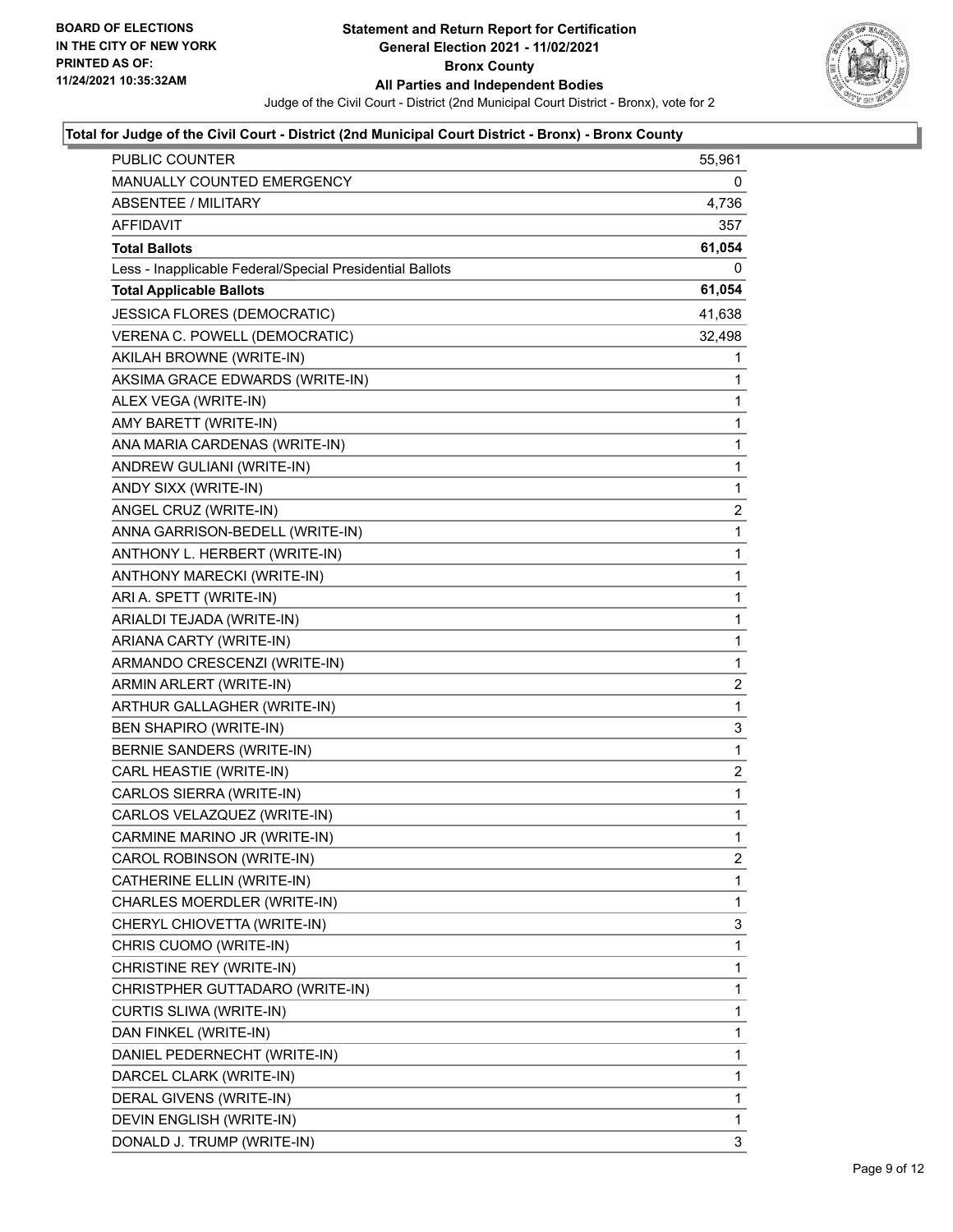

| PUBLIC COUNTER                                           | 55,961       |
|----------------------------------------------------------|--------------|
| MANUALLY COUNTED EMERGENCY                               | 0            |
| <b>ABSENTEE / MILITARY</b>                               | 4,736        |
| AFFIDAVIT                                                | 357          |
| <b>Total Ballots</b>                                     | 61,054       |
| Less - Inapplicable Federal/Special Presidential Ballots | 0            |
| <b>Total Applicable Ballots</b>                          | 61,054       |
| JESSICA FLORES (DEMOCRATIC)                              | 41,638       |
| VERENA C. POWELL (DEMOCRATIC)                            | 32,498       |
| AKILAH BROWNE (WRITE-IN)                                 | 1            |
| AKSIMA GRACE EDWARDS (WRITE-IN)                          | 1            |
| ALEX VEGA (WRITE-IN)                                     | 1            |
| AMY BARETT (WRITE-IN)                                    | 1            |
| ANA MARIA CARDENAS (WRITE-IN)                            | 1            |
| ANDREW GULIANI (WRITE-IN)                                | 1            |
| ANDY SIXX (WRITE-IN)                                     | 1            |
| ANGEL CRUZ (WRITE-IN)                                    | 2            |
| ANNA GARRISON-BEDELL (WRITE-IN)                          | 1            |
| ANTHONY L. HERBERT (WRITE-IN)                            | 1            |
| ANTHONY MARECKI (WRITE-IN)                               | 1            |
| ARI A. SPETT (WRITE-IN)                                  | 1            |
| ARIALDI TEJADA (WRITE-IN)                                | 1            |
| ARIANA CARTY (WRITE-IN)                                  | 1            |
| ARMANDO CRESCENZI (WRITE-IN)                             | 1            |
| ARMIN ARLERT (WRITE-IN)                                  | 2            |
| ARTHUR GALLAGHER (WRITE-IN)                              | 1            |
| <b>BEN SHAPIRO (WRITE-IN)</b>                            | 3            |
| BERNIE SANDERS (WRITE-IN)                                | 1            |
| CARL HEASTIE (WRITE-IN)                                  | 2            |
| CARLOS SIERRA (WRITE-IN)                                 | 1            |
| CARLOS VELAZQUEZ (WRITE-IN)                              | 1            |
| CARMINE MARINO JR (WRITE-IN)                             | $\mathbf{1}$ |
| CAROL ROBINSON (WRITE-IN)                                | 2            |
| CATHERINE ELLIN (WRITE-IN)                               | 1            |
| CHARLES MOERDLER (WRITE-IN)                              | 1            |
| CHERYL CHIOVETTA (WRITE-IN)                              | 3            |
| CHRIS CUOMO (WRITE-IN)                                   | 1            |
| CHRISTINE REY (WRITE-IN)                                 | 1            |
| CHRISTPHER GUTTADARO (WRITE-IN)                          | 1            |
| CURTIS SLIWA (WRITE-IN)                                  | 1            |
| DAN FINKEL (WRITE-IN)                                    | 1            |
| DANIEL PEDERNECHT (WRITE-IN)                             | 1            |
| DARCEL CLARK (WRITE-IN)                                  | 1            |
| DERAL GIVENS (WRITE-IN)                                  | 1            |
| DEVIN ENGLISH (WRITE-IN)                                 | 1            |
| DONALD J. TRUMP (WRITE-IN)                               | 3            |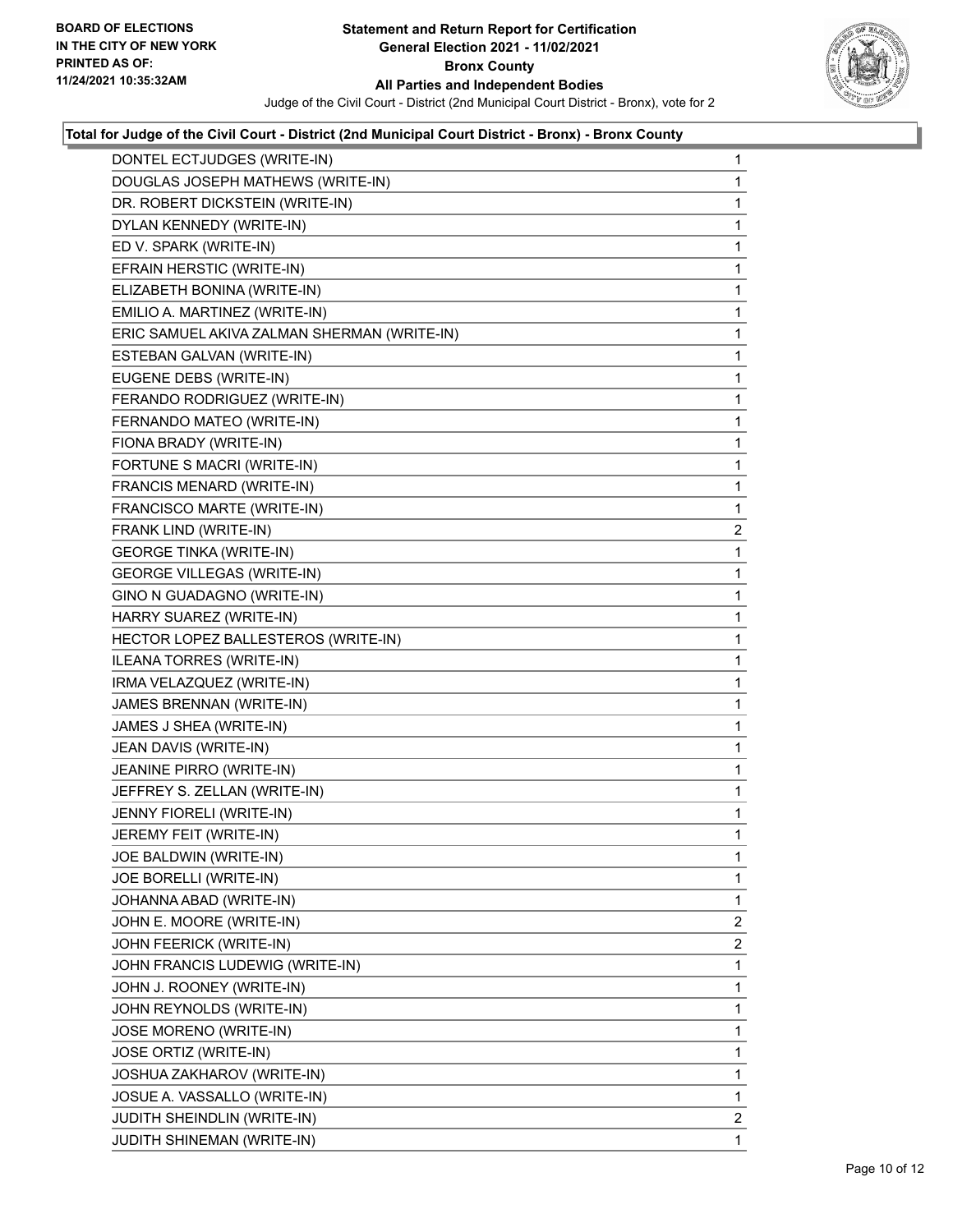

| DONTEL ECTJUDGES (WRITE-IN)                 | $\mathbf{1}$   |
|---------------------------------------------|----------------|
| DOUGLAS JOSEPH MATHEWS (WRITE-IN)           | 1              |
| DR. ROBERT DICKSTEIN (WRITE-IN)             | 1              |
| DYLAN KENNEDY (WRITE-IN)                    | 1              |
| ED V. SPARK (WRITE-IN)                      | 1              |
| EFRAIN HERSTIC (WRITE-IN)                   | 1              |
| ELIZABETH BONINA (WRITE-IN)                 | 1              |
| EMILIO A. MARTINEZ (WRITE-IN)               | 1              |
| ERIC SAMUEL AKIVA ZALMAN SHERMAN (WRITE-IN) | 1              |
| ESTEBAN GALVAN (WRITE-IN)                   | 1              |
| EUGENE DEBS (WRITE-IN)                      | 1              |
| FERANDO RODRIGUEZ (WRITE-IN)                | 1              |
| FERNANDO MATEO (WRITE-IN)                   | 1              |
| FIONA BRADY (WRITE-IN)                      | 1              |
| FORTUNE S MACRI (WRITE-IN)                  | 1              |
| FRANCIS MENARD (WRITE-IN)                   | 1              |
| FRANCISCO MARTE (WRITE-IN)                  | 1              |
| FRANK LIND (WRITE-IN)                       | 2              |
| <b>GEORGE TINKA (WRITE-IN)</b>              | 1              |
| <b>GEORGE VILLEGAS (WRITE-IN)</b>           | 1              |
| GINO N GUADAGNO (WRITE-IN)                  | 1              |
| HARRY SUAREZ (WRITE-IN)                     | 1              |
| HECTOR LOPEZ BALLESTEROS (WRITE-IN)         | 1              |
| ILEANA TORRES (WRITE-IN)                    | 1              |
| IRMA VELAZQUEZ (WRITE-IN)                   | 1              |
| JAMES BRENNAN (WRITE-IN)                    | 1              |
| JAMES J SHEA (WRITE-IN)                     | 1              |
| JEAN DAVIS (WRITE-IN)                       | 1              |
| JEANINE PIRRO (WRITE-IN)                    | 1              |
| JEFFREY S. ZELLAN (WRITE-IN)                | 1              |
| JENNY FIORELI (WRITE-IN)                    | 1              |
| JEREMY FEIT (WRITE-IN)                      | 1              |
| JOE BALDWIN (WRITE-IN)                      | 1              |
| JOE BORELLI (WRITE-IN)                      | 1              |
| JOHANNA ABAD (WRITE-IN)                     | 1              |
| JOHN E. MOORE (WRITE-IN)                    | $\overline{2}$ |
| JOHN FEERICK (WRITE-IN)                     | $\overline{2}$ |
| JOHN FRANCIS LUDEWIG (WRITE-IN)             | 1              |
| JOHN J. ROONEY (WRITE-IN)                   | 1              |
| JOHN REYNOLDS (WRITE-IN)                    | 1              |
| JOSE MORENO (WRITE-IN)                      | 1              |
| JOSE ORTIZ (WRITE-IN)                       | 1              |
| JOSHUA ZAKHAROV (WRITE-IN)                  | 1              |
| JOSUE A. VASSALLO (WRITE-IN)                | 1              |
| <b>JUDITH SHEINDLIN (WRITE-IN)</b>          | $\mathbf{2}$   |
| JUDITH SHINEMAN (WRITE-IN)                  | $\mathbf 1$    |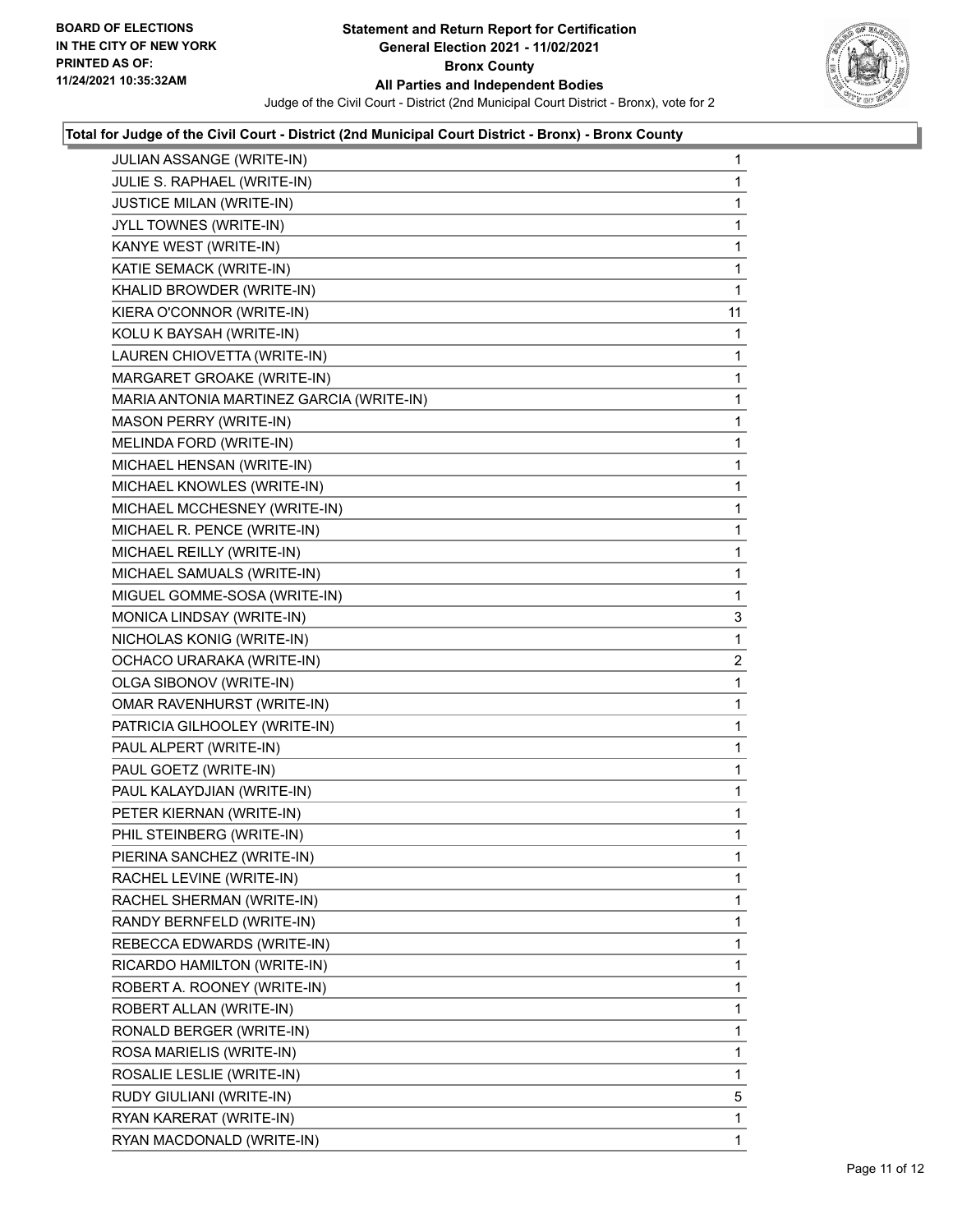

| JULIAN ASSANGE (WRITE-IN)                | $\mathbf{1}$ |
|------------------------------------------|--------------|
| JULIE S. RAPHAEL (WRITE-IN)              | 1            |
| <b>JUSTICE MILAN (WRITE-IN)</b>          | 1            |
| JYLL TOWNES (WRITE-IN)                   | 1            |
| KANYE WEST (WRITE-IN)                    | 1            |
| KATIE SEMACK (WRITE-IN)                  | 1            |
| KHALID BROWDER (WRITE-IN)                | 1            |
| KIERA O'CONNOR (WRITE-IN)                | 11           |
| KOLU K BAYSAH (WRITE-IN)                 | 1            |
| LAUREN CHIOVETTA (WRITE-IN)              | 1            |
| MARGARET GROAKE (WRITE-IN)               | 1            |
| MARIA ANTONIA MARTINEZ GARCIA (WRITE-IN) | 1            |
| MASON PERRY (WRITE-IN)                   | 1            |
| MELINDA FORD (WRITE-IN)                  | 1            |
| MICHAEL HENSAN (WRITE-IN)                | 1            |
| MICHAEL KNOWLES (WRITE-IN)               | 1            |
| MICHAEL MCCHESNEY (WRITE-IN)             | 1            |
| MICHAEL R. PENCE (WRITE-IN)              | 1            |
| MICHAEL REILLY (WRITE-IN)                | 1            |
| MICHAEL SAMUALS (WRITE-IN)               | 1            |
| MIGUEL GOMME-SOSA (WRITE-IN)             | 1            |
| MONICA LINDSAY (WRITE-IN)                | 3            |
| NICHOLAS KONIG (WRITE-IN)                | 1            |
| OCHACO URARAKA (WRITE-IN)                | $\mathbf{2}$ |
| OLGA SIBONOV (WRITE-IN)                  | 1            |
| OMAR RAVENHURST (WRITE-IN)               | 1            |
| PATRICIA GILHOOLEY (WRITE-IN)            | 1            |
| PAUL ALPERT (WRITE-IN)                   | 1            |
| PAUL GOETZ (WRITE-IN)                    | 1            |
| PAUL KALAYDJIAN (WRITE-IN)               | 1            |
| PETER KIERNAN (WRITE-IN)                 | 1            |
| PHIL STEINBERG (WRITE-IN)                | 1            |
| PIERINA SANCHEZ (WRITE-IN)               | 1            |
| RACHEL LEVINE (WRITE-IN)                 | 1            |
| RACHEL SHERMAN (WRITE-IN)                | 1            |
| RANDY BERNFELD (WRITE-IN)                | 1            |
| REBECCA EDWARDS (WRITE-IN)               | 1            |
| RICARDO HAMILTON (WRITE-IN)              | 1            |
| ROBERT A. ROONEY (WRITE-IN)              | 1            |
| ROBERT ALLAN (WRITE-IN)                  | 1            |
| RONALD BERGER (WRITE-IN)                 | 1            |
| ROSA MARIELIS (WRITE-IN)                 | 1            |
| ROSALIE LESLIE (WRITE-IN)                | 1            |
| RUDY GIULIANI (WRITE-IN)                 | 5            |
| RYAN KARERAT (WRITE-IN)                  | 1            |
| RYAN MACDONALD (WRITE-IN)                | 1.           |